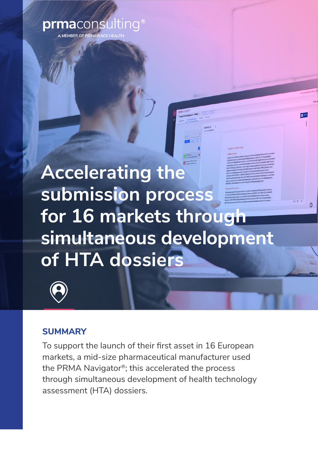# prmaconsulting<sup>®</sup>

**IEMBER OF FISHAWACK HEAL** 

# **Accelerating the submission process for 16 markets through simultaneous development of HTA dossiers**



## **SUMMARY**

To support the launch of their first asset in 16 European markets, a mid-size pharmaceutical manufacturer used the PRMA Navigator®; this accelerated the process through simultaneous development of health technology assessment (HTA) dossiers.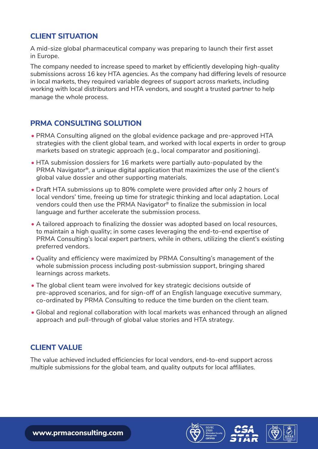#### **CLIENT SITUATION**

A mid-size global pharmaceutical company was preparing to launch their first asset in Europe.

The company needed to increase speed to market by efficiently developing high-quality submissions across 16 key HTA agencies. As the company had differing levels of resource in local markets, they required variable degrees of support across markets, including working with local distributors and HTA vendors, and sought a trusted partner to help manage the whole process.

#### **PRMA CONSULTING SOLUTION**

- PRMA Consulting aligned on the global evidence package and pre-approved HTA strategies with the client global team, and worked with local experts in order to group markets based on strategic approach (e.g., local comparator and positioning).
- HTA submission dossiers for 16 markets were partially auto-populated by the PRMA Navigator®, a unique digital application that maximizes the use of the client's global value dossier and other supporting materials.
- Draft HTA submissions up to 80% complete were provided after only 2 hours of local vendors' time, freeing up time for strategic thinking and local adaptation. Local vendors could then use the PRMA Navigator® to finalize the submission in local language and further accelerate the submission process.
- A tailored approach to finalizing the dossier was adopted based on local resources, to maintain a high quality; in some cases leveraging the end-to-end expertise of PRMA Consulting's local expert partners, while in others, utilizing the client's existing preferred vendors.
- Quality and efficiency were maximized by PRMA Consulting's management of the whole submission process including post-submission support, bringing shared learnings across markets.
- The global client team were involved for key strategic decisions outside of pre-approved scenarios, and for sign-off of an English language executive summary, co-ordinated by PRMA Consulting to reduce the time burden on the client team.
- Global and regional collaboration with local markets was enhanced through an aligned approach and pull-through of global value stories and HTA strategy.

#### **CLIENT VALUE**

The value achieved included efficiencies for local vendors, end-to-end support across multiple submissions for the global team, and quality outputs for local affiliates.